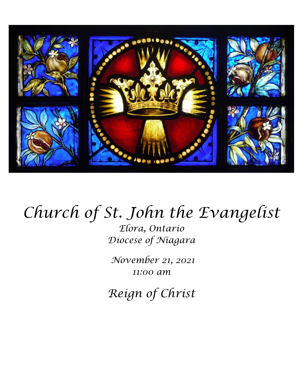

# *Church of St. John the Evangelist*

*Elora, Ontario Diocese of Niagara*

*November 21, 2021 11:00 am*

*Reign of Christ*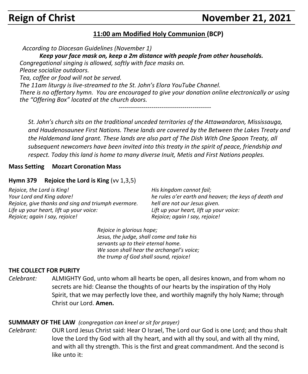# **Reign of Christ November 21, 2021**

#### **11:00 am Modified Holy Communion (BCP)**

*According to Diocesan Guidelines (November 1)*

*Keep your face mask on, keep a 2m distance with people from other households.*

*Congregational singing is allowed, softly with face masks on.*

*Please socialize outdoors.*

*Tea, coffee or food will not be served.*

*The 11am liturgy is live-streamed to the St. John's Elora YouTube Channel. There is no offertory hymn. You are encouraged to give your donation online electronically or using the "Offering Box" located at the church doors.*

*---------------------------------------------*

*St. John's church sits on the traditional unceded territories of the Attawandaron, Mississauga, and Haudenosaunee First Nations. These lands are covered by the Between the Lakes Treaty and the Haldemand land grant. These lands are also part of The Dish With One Spoon Treaty, all subsequent newcomers have been invited into this treaty in the spirit of peace, friendship and respect. Today this land is home to many diverse Inuit, Metis and First Nations peoples.* 

#### **Mass Setting Mozart Coronation Mass**

#### **Hymn 379 Rejoice the Lord is King** (vv 1,3,5)

*Rejoice, the Lord is King! Your Lord and King adore! Rejoice, give thanks and sing and triumph evermore. Life up your heart, lift up your voice: Rejoice; again I say, rejoice!*

*His kingdom cannot fail; he rules o'er earth and heaven; the keys of death and hell are not our Jesus given. Lift up your heart, lift up your voice: Rejoice; again I say, rejoice!*

*Rejoice in glorious hope; Jesus, the judge, shall come and take his servants up to their eternal home. We soon shall hear the archangel's voice; the trump of God shall sound, rejoice!*

#### **THE COLLECT FOR PURITY**

*Celebrant:* ALMIGHTY God, unto whom all hearts be open, all desires known, and from whom no secrets are hid: Cleanse the thoughts of our hearts by the inspiration of thy Holy Spirit, that we may perfectly love thee, and worthily magnify thy holy Name; through Christ our Lord. **Amen.**

#### **SUMMARY OF THE LAW** *(congregation can kneel or sit for prayer)*

*Celebrant:* OUR Lord Jesus Christ said: Hear O Israel, The Lord our God is one Lord; and thou shalt love the Lord thy God with all thy heart, and with all thy soul, and with all thy mind, and with all thy strength. This is the first and great commandment. And the second is like unto it: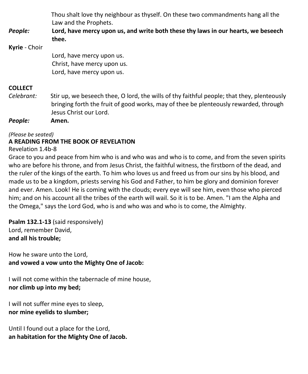| People:        | Thou shalt love thy neighbour as thyself. On these two commandments hang all the<br>Law and the Prophets.<br>Lord, have mercy upon us, and write both these thy laws in our hearts, we beseech<br>thee.      |
|----------------|--------------------------------------------------------------------------------------------------------------------------------------------------------------------------------------------------------------|
| Kyrie - Choir  |                                                                                                                                                                                                              |
|                | Lord, have mercy upon us.                                                                                                                                                                                    |
|                | Christ, have mercy upon us.                                                                                                                                                                                  |
|                | Lord, have mercy upon us.                                                                                                                                                                                    |
| <b>COLLECT</b> |                                                                                                                                                                                                              |
| Celebrant:     | Stir up, we beseech thee, O lord, the wills of thy faithful people; that they, plenteously<br>bringing forth the fruit of good works, may of thee be plenteously rewarded, through<br>Jesus Christ our Lord. |

*People:* **Amen.**

*(Please be seated)*

### **A READING FROM THE BOOK OF REVELATION**

Revelation 1.4b-8

Grace to you and peace from him who is and who was and who is to come, and from the seven spirits who are before his throne, and from Jesus Christ, the faithful witness, the firstborn of the dead, and the ruler of the kings of the earth. To him who loves us and freed us from our sins by his blood, and made us to be a kingdom, priests serving his God and Father, to him be glory and dominion forever and ever. Amen. Look! He is coming with the clouds; every eye will see him, even those who pierced him; and on his account all the tribes of the earth will wail. So it is to be. Amen. "I am the Alpha and the Omega," says the Lord God, who is and who was and who is to come, the Almighty.

**Psalm 132.1-13** (said responsively) Lord, remember David, **and all his trouble;**

How he sware unto the Lord, **and vowed a vow unto the Mighty One of Jacob:**

I will not come within the tabernacle of mine house, **nor climb up into my bed;**

I will not suffer mine eyes to sleep, **nor mine eyelids to slumber;**

Until I found out a place for the Lord, **an habitation for the Mighty One of Jacob.**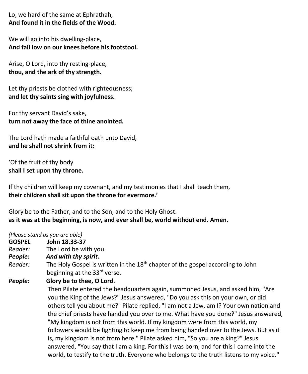Lo, we hard of the same at Ephrathah, **And found it in the fields of the Wood.**

We will go into his dwelling-place, **And fall low on our knees before his footstool.**

Arise, O Lord, into thy resting-place, **thou, and the ark of thy strength.**

Let thy priests be clothed with righteousness; **and let thy saints sing with joyfulness.**

For thy servant David's sake, **turn not away the face of thine anointed.**

The Lord hath made a faithful oath unto David, **and he shall not shrink from it:**

'Of the fruit of thy body **shall I set upon thy throne.**

If thy children will keep my covenant, and my testimonies that I shall teach them, **their children shall sit upon the throne for evermore.'**

Glory be to the Father, and to the Son, and to the Holy Ghost. **as it was at the beginning, is now, and ever shall be, world without end. Amen.**

*(Please stand as you are able)*

- **GOSPEL John 18.33-37**<br>Reader: The Lord be wi
- *Reader:*The Lord be with you.
- *People: And with thy spirit.*
- Reader: The Holy Gospel is written in the 18<sup>th</sup> chapter of the gospel according to John beginning at the 33<sup>rd</sup> verse.

*People:* **Glory be to thee, O Lord.**

Then Pilate entered the headquarters again, summoned Jesus, and asked him, "Are you the King of the Jews?" Jesus answered, "Do you ask this on your own, or did others tell you about me?" Pilate replied, "I am not a Jew, am I? Your own nation and the chief priests have handed you over to me. What have you done?" Jesus answered, "My kingdom is not from this world. If my kingdom were from this world, my followers would be fighting to keep me from being handed over to the Jews. But as it is, my kingdom is not from here." Pilate asked him, "So you are a king?" Jesus answered, "You say that I am a king. For this I was born, and for this I came into the world, to testify to the truth. Everyone who belongs to the truth listens to my voice."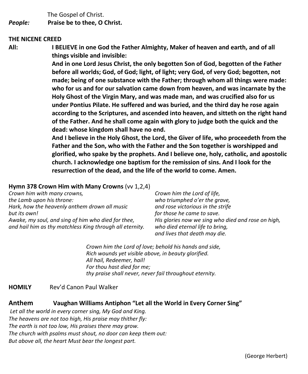The Gospel of Christ. *People:* **Praise be to thee, O Christ.**

#### **THE NICENE CREED**

**All: I BELIEVE in one God the Father Almighty, Maker of heaven and earth, and of all things visible and invisible:**

> **And in one Lord Jesus Christ, the only begotten Son of God, begotten of the Father before all worlds; God, of God; light, of light; very God, of very God; begotten, not made; being of one substance with the Father; through whom all things were made: who for us and for our salvation came down from heaven, and was incarnate by the Holy Ghost of the Virgin Mary, and was made man, and was crucified also for us under Pontius Pilate. He suffered and was buried, and the third day he rose again according to the Scriptures, and ascended into heaven, and sitteth on the right hand of the Father. And he shall come again with glory to judge both the quick and the dead: whose kingdom shall have no end.**

> **And I believe in the Holy Ghost, the Lord, the Giver of life, who proceedeth from the Father and the Son, who with the Father and the Son together is worshipped and glorified, who spake by the prophets. And I believe one, holy, catholic, and apostolic church. I acknowledge one baptism for the remission of sins. And I look for the resurrection of the dead, and the life of the world to come. Amen.**

#### **Hymn 378 Crown Him with Many Crowns** (vv 1,2,4)

*Crown him with many crowns, the Lamb upon his throne: Hark, how the heavenly anthem drown all music but its own! Awake, my soul, and sing of him who died for thee, and hail him as thy matchless King through all eternity.*

*Crown him the Lord of life, who triumphed o'er the grave, and rose victorious in the strife for those he came to save. His glories now we sing who died and rose on high, who died eternal life to bring, and lives that death may die.*

*Crown him the Lord of love; behold his hands and side, Rich wounds yet visible above, in beauty glorified. All hail, Redeemer, hail! For thou hast died for me; thy praise shall never, never fail throughout eternity.*

#### **HOMILY** Rev'd Canon Paul Walker

#### **Anthem Vaughan Williams Antiphon "Let all the World in Every Corner Sing"**

*Let all the world in every corner sing, My God and King. The heavens are not too high, His praise may thither fly: The earth is not too low, His praises there may grow. The church with psalms must shout, no door can keep them out: But above all, the heart Must bear the longest part.*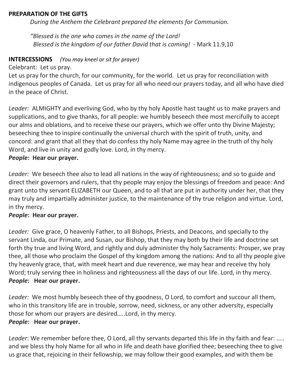#### **PREPARATION OF THE GIFTS**

*During the Anthem the Celebrant prepared the elements for Communion.*

*"Blessed is the one who comes in the name of the Lord! Blessed is the kingdom of our father David that is coming!* - Mark 11.9,10

#### **INTERCESSIONS** *(You may kneel or sit for prayer)*

Celebrant: Let us pray.

Let us pray for the church, for our community, for the world. Let us pray for reconciliation with indigenous peoples of Canada. Let us pray for all who need our prayers today, and all who have died in the peace of Christ.

*Leader:* ALMIGHTY and everliving God, who by thy holy Apostle hast taught us to make prayers and supplications, and to give thanks, for all people: we humbly beseech thee most mercifully to accept our alms and oblations, and to receive these our prayers, which we offer unto thy Divine Majesty; beseeching thee to inspire continually the universal church with the spirit of truth, unity, and concord: and grant that all they that do confess thy holy Name may agree in the truth of thy holy Word, and live in unity and godly love. Lord, in thy mercy.

#### *People***: Hear our prayer.**

*Leader:* We beseech thee also to lead all nations in the way of righteousness; and so to guide and direct their governors and rulers, that thy people may enjoy the blessings of freedom and peace: And grant unto thy servant ELIZABETH our Queen, and to all that are put in authority under her, that they may truly and impartially administer justice, to the maintenance of thy true religion and virtue. Lord, in thy mercy.

#### *People***: Hear our prayer.**

*Leader:* Give grace, O heavenly Father, to all Bishops, Priests, and Deacons, and specially to thy servant Linda, our Primate, and Susan, our Bishop, that they may both by their life and doctrine set forth thy true and living Word, and rightly and duly administer thy holy Sacraments: Prosper, we pray thee, all those who proclaim the Gospel of thy kingdom among the nations: And to all thy people give thy heavenly grace, that, with meek heart and due reverence, we may hear and receive thy holy Word; truly serving thee in holiness and righteousness all the days of our life. Lord, in thy mercy. *People***: Hear our prayer.**

*Leader:* We most humbly beseech thee of thy goodness, O Lord, to comfort and succour all them, who in this transitory life are in trouble, sorrow, need, sickness, or any other adversity, especially those for whom our prayers are desired…..Lord, in thy mercy. *People***: Hear our prayer.**

*Leader*: We remember before thee, O Lord, all thy servants departed this life in thy faith and fear: ….. and we bless thy holy Name for all who in life and death have glorified thee; beseeching thee to give us grace that, rejoicing in their fellowship, we may follow their good examples, and with them be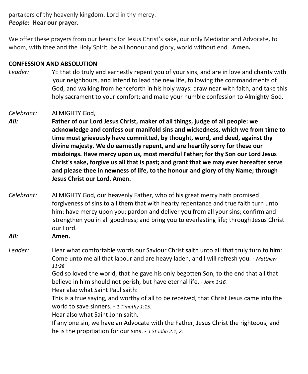partakers of thy heavenly kingdom. Lord in thy mercy. *People***: Hear our prayer.**

We offer these prayers from our hearts for Jesus Christ's sake, our only Mediator and Advocate, to whom, with thee and the Holy Spirit, be all honour and glory, world without end. **Amen.**

#### **CONFESSION AND ABSOLUTION**

*Leader:* YE that do truly and earnestly repent you of your sins, and are in love and charity with your neighbours, and intend to lead the new life, following the commandments of God, and walking from henceforth in his holy ways: draw near with faith, and take this holy sacrament to your comfort; and make your humble confession to Almighty God.

#### *Celebrant:* ALMIGHTY God,

*All:* **Father of our Lord Jesus Christ, maker of all things, judge of all people: we acknowledge and confess our manifold sins and wickedness, which we from time to time most grievously have committed, by thought, word, and deed, against thy divine majesty. We do earnestly repent, and are heartily sorry for these our misdoings. Have mercy upon us, most merciful Father; for thy Son our Lord Jesus Christ's sake, forgive us all that is past; and grant that we may ever hereafter serve and please thee in newness of life, to the honour and glory of thy Name; through Jesus Christ our Lord. Amen.**

- *Celebrant:* ALMIGHTY God, our heavenly Father, who of his great mercy hath promised forgiveness of sins to all them that with hearty repentance and true faith turn unto him: have mercy upon you; pardon and deliver you from all your sins; confirm and strengthen you in all goodness; and bring you to everlasting life; through Jesus Christ our Lord.
- *All:* **Amen.**

*Leader:* Hear what comfortable words our Saviour Christ saith unto all that truly turn to him: Come unto me all that labour and are heavy laden, and I will refresh you. - *Matthew 11:28*

> God so loved the world, that he gave his only begotten Son, to the end that all that believe in him should not perish, but have eternal life. - *John 3:16.*

Hear also what Saint Paul saith:

This is a true saying, and worthy of all to be received, that Christ Jesus came into the world to save sinners. - *1 Timothy 1:15.*

Hear also what Saint John saith.

If any one sin, we have an Advocate with the Father, Jesus Christ the righteous; and he is the propitiation for our sins. - *1 St John 2:1, 2*.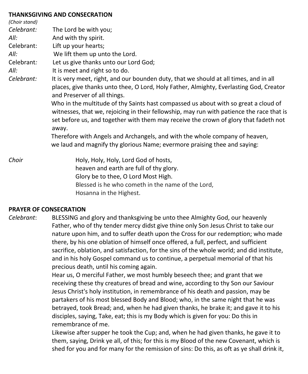#### **THANKSGIVING AND CONSECRATION**

| (Choir stand) |                                                                                                                                                                                                                                                                                                                                                                                                                                                                                                                                                                                                                                                                  |
|---------------|------------------------------------------------------------------------------------------------------------------------------------------------------------------------------------------------------------------------------------------------------------------------------------------------------------------------------------------------------------------------------------------------------------------------------------------------------------------------------------------------------------------------------------------------------------------------------------------------------------------------------------------------------------------|
| Celebrant:    | The Lord be with you;                                                                                                                                                                                                                                                                                                                                                                                                                                                                                                                                                                                                                                            |
| All:          | And with thy spirit.                                                                                                                                                                                                                                                                                                                                                                                                                                                                                                                                                                                                                                             |
| Celebrant:    | Lift up your hearts;                                                                                                                                                                                                                                                                                                                                                                                                                                                                                                                                                                                                                                             |
| All:          | We lift them up unto the Lord.                                                                                                                                                                                                                                                                                                                                                                                                                                                                                                                                                                                                                                   |
| Celebrant:    | Let us give thanks unto our Lord God;                                                                                                                                                                                                                                                                                                                                                                                                                                                                                                                                                                                                                            |
| All:          | It is meet and right so to do.                                                                                                                                                                                                                                                                                                                                                                                                                                                                                                                                                                                                                                   |
| Celebrant:    | It is very meet, right, and our bounden duty, that we should at all times, and in all<br>places, give thanks unto thee, O Lord, Holy Father, Almighty, Everlasting God, Creator<br>and Preserver of all things.<br>Who in the multitude of thy Saints hast compassed us about with so great a cloud of<br>witnesses, that we, rejoicing in their fellowship, may run with patience the race that is<br>set before us, and together with them may receive the crown of glory that fadeth not<br>away.<br>Therefore with Angels and Archangels, and with the whole company of heaven,<br>we laud and magnify thy glorious Name; evermore praising thee and saying: |
| Choir         | Holy, Holy, Holy, Lord God of hosts,<br>heaven and earth are full of thy glory.<br>Glory be to thee, O Lord Most High.<br>Blessed is he who cometh in the name of the Lord,                                                                                                                                                                                                                                                                                                                                                                                                                                                                                      |

Hosanna in the Highest.

#### **PRAYER OF CONSECRATION**

*Celebrant*: BLESSING and glory and thanksgiving be unto thee Almighty God, our heavenly Father, who of thy tender mercy didst give thine only Son Jesus Christ to take our nature upon him, and to suffer death upon the Cross for our redemption; who made there, by his one oblation of himself once offered, a full, perfect, and sufficient sacrifice, oblation, and satisfaction, for the sins of the whole world; and did institute, and in his holy Gospel command us to continue, a perpetual memorial of that his precious death, until his coming again.

> Hear us, O merciful Father, we most humbly beseech thee; and grant that we receiving these thy creatures of bread and wine, according to thy Son our Saviour Jesus Christ's holy institution, in remembrance of his death and passion, may be partakers of his most blessed Body and Blood; who, in the same night that he was betrayed, took Bread; and, when he had given thanks, he brake it; and gave it to his disciples, saying, Take, eat; this is my Body which is given for you: Do this in remembrance of me.

Likewise after supper he took the Cup; and, when he had given thanks, he gave it to them, saying, Drink ye all, of this; for this is my Blood of the new Covenant, which is shed for you and for many for the remission of sins: Do this, as oft as ye shall drink it,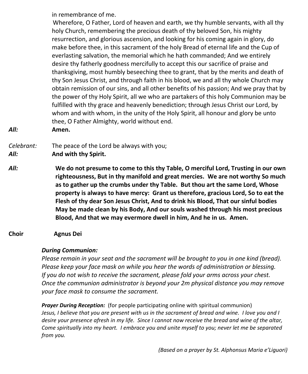in remembrance of me.

 Wherefore, O Father, Lord of heaven and earth, we thy humble servants, with all thy holy Church, remembering the precious death of thy beloved Son, his mighty resurrection, and glorious ascension, and looking for his coming again in glory, do make before thee, in this sacrament of the holy Bread of eternal life and the Cup of everlasting salvation, the memorial which he hath commanded; And we entirely desire thy fatherly goodness mercifully to accept this our sacrifice of praise and thanksgiving, most humbly beseeching thee to grant, that by the merits and death of thy Son Jesus Christ, and through faith in his blood, we and all thy whole Church may obtain remission of our sins, and all other benefits of his passion; And we pray that by the power of thy Holy Spirit, all we who are partakers of this holy Communion may be fulfilled with thy grace and heavenly benediction; through Jesus Christ our Lord, by whom and with whom, in the unity of the Holy Spirit, all honour and glory be unto thee, O Father Almighty, world without end.

*All:* **Amen.**

*Celebrant:* The peace of the Lord be always with you;

*All:* **And with thy Spirit.**

- *All:* **We do not presume to come to this thy Table, O merciful Lord, Trusting in our own righteousness, But in thy manifold and great mercies. We are not worthy So much as to gather up the crumbs under thy Table. But thou art the same Lord, Whose property is always to have mercy: Grant us therefore, gracious Lord, So to eat the Flesh of thy dear Son Jesus Christ, And to drink his Blood, That our sinful bodies May be made clean by his Body, And our souls washed through his most precious Blood, And that we may evermore dwell in him, And he in us. Amen.**
- **Choir Agnus Dei**

### *During Communion:*

*Please remain in your seat and the sacrament will be brought to you in one kind (bread). Please keep your face mask on while you hear the words of administration or blessing. If you do not wish to receive the sacrament, please fold your arms across your chest. Once the communion administrator is beyond your 2m physical distance you may remove your face mask to consume the sacrament.*

*Prayer During Reception:* (for people participating online with spiritual communion) Jesus, I believe that you are present with us in the sacrament of bread and wine. I love you and I desire your presence afresh in my life. Since I cannot now receive the bread and wine of the altar, *Come spiritually into my heart. I embrace you and unite myself to you; never let me be separated from you.*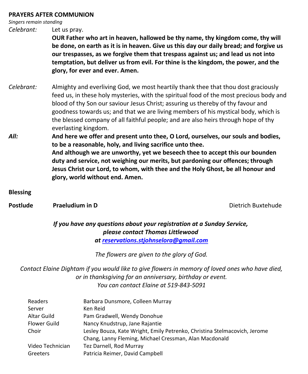#### **PRAYERS AFTER COMMUNION**

*Singers remain standing*

*Celebrant:* Let us pray.

**OUR Father who art in heaven, hallowed be thy name, thy kingdom come, thy will be done, on earth as it is in heaven. Give us this day our daily bread; and forgive us our trespasses, as we forgive them that trespass against us; and lead us not into temptation, but deliver us from evil. For thine is the kingdom, the power, and the glory, for ever and ever. Amen.**

- *Celebrant:* Almighty and everliving God, we most heartily thank thee that thou dost graciously feed us, in these holy mysteries, with the spiritual food of the most precious body and blood of thy Son our saviour Jesus Christ; assuring us thereby of thy favour and goodness towards us; and that we are living members of his mystical body, which is the blessed company of all faithful people; and are also heirs through hope of thy everlasting kingdom.
- *All:* **And here we offer and present unto thee, O Lord, ourselves, our souls and bodies, to be a reasonable, holy, and living sacrifice unto thee. And although we are unworthy, yet we beseech thee to accept this our bounden duty and service, not weighing our merits, but pardoning our offences; through Jesus Christ our Lord, to whom, with thee and the Holy Ghost, be all honour and glory, world without end. Amen.**
- **Blessing**
- **Postlude Praeludium in D Postlude Praeludium in D Dietrich Buxtehude**

*If you have any questions about your registration at a Sunday Service, please contact Thomas Littlewood at [reservations.stjohnselora@gmail.com](mailto:reservations.stjohnselora@gmail.com)*

*The flowers are given to the glory of God.*

*Contact Elaine Dightam if you would like to give flowers in memory of loved ones who have died, or in thanksgiving for an anniversary, birthday or event. You can contact Elaine at 519-843-5091*

| Barbara Dunsmore, Colleen Murray                                          |
|---------------------------------------------------------------------------|
| Ken Reid                                                                  |
| Pam Gradwell, Wendy Donohue                                               |
| Nancy Knudstrup, Jane Rajantie                                            |
| Lesley Bouza, Kate Wright, Emily Petrenko, Christina Stelmacovich, Jerome |
| Chang, Lanny Fleming, Michael Cressman, Alan Macdonald                    |
| Tez Darnell, Rod Murray                                                   |
| Patricia Reimer, David Campbell                                           |
|                                                                           |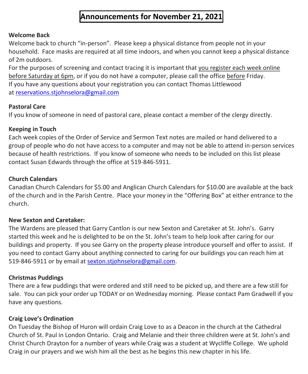## **Announcements for November 21, 2021**

#### **Welcome Back**

Welcome back to church "in-person". Please keep a physical distance from people not in your household. Face masks are required at all time indoors, and when you cannot keep a physical distance of 2m outdoors.

For the purposes of screening and contact tracing it is important that you register each week online before Saturday at 6pm, or if you do not have a computer, please call the office before Friday. If you have any questions about your registration you can contact Thomas Littlewood at [reservations.stjohnselora@gmail.com](mailto:reservations.stjohnselora@gmail.com)

### **Pastoral Care**

If you know of someone in need of pastoral care, please contact a member of the clergy directly.

### **Keeping in Touch**

Each week copies of the Order of Service and Sermon Text notes are mailed or hand delivered to a group of people who do not have access to a computer and may not be able to attend in-person services because of health restrictions. If you know of someone who needs to be included on this list please contact Susan Edwards through the office at 519-846-5911.

### **Church Calendars**

Canadian Church Calendars for \$5.00 and Anglican Church Calendars for \$10.00 are available at the back of the church and in the Parish Centre. Place your money in the "Offering Box" at either entrance to the church.

### **New Sexton and Caretaker:**

The Wardens are pleased that Garry Cantlon is our new Sexton and Caretaker at St. John's. Garry started this week and he is delighted to be on the St. John's team to help look after caring for our buildings and property. If you see Garry on the property please introduce yourself and offer to assist. If you need to contact Garry about anything connected to caring for our buildings you can reach him at 519-846-5911 or by email at [sexton.stjohnselora@gmail.com.](mailto:sexton.stjohnselora@gmail.com)

### **Christmas Puddings**

There are a few puddings that were ordered and still need to be picked up, and there are a few still for sale. You can pick your order up TODAY or on Wednesday morning. Please contact Pam Gradwell if you have any questions.

### **Craig Love's Ordination**

On Tuesday the Bishop of Huron will ordain Craig Love to as a Deacon in the church at the Cathedral Church of St. Paul in London Ontario. Craig and Melanie and their three children were at St. John's and Christ Church Drayton for a number of years while Craig was a student at Wycliffe College. We uphold Craig in our prayers and we wish him all the best as he begins this new chapter in his life.